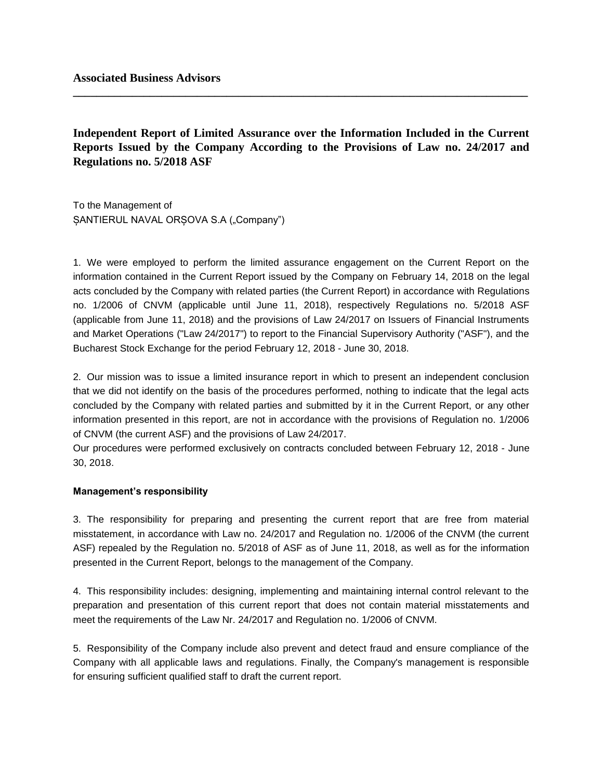**Independent Report of Limited Assurance over the Information Included in the Current Reports Issued by the Company According to the Provisions of Law no. 24/2017 and Regulations no. 5/2018 ASF**

**\_\_\_\_\_\_\_\_\_\_\_\_\_\_\_\_\_\_\_\_\_\_\_\_\_\_\_\_\_\_\_\_\_\_\_\_\_\_\_\_\_\_\_\_\_\_\_\_\_\_\_\_\_\_\_\_\_\_\_\_\_\_\_\_\_\_\_\_\_\_\_\_\_\_\_\_\_**

To the Management of SANTIERUL NAVAL ORSOVA S.A ("Company")

1. We were employed to perform the limited assurance engagement on the Current Report on the information contained in the Current Report issued by the Company on February 14, 2018 on the legal acts concluded by the Company with related parties (the Current Report) in accordance with Regulations no. 1/2006 of CNVM (applicable until June 11, 2018), respectively Regulations no. 5/2018 ASF (applicable from June 11, 2018) and the provisions of Law 24/2017 on Issuers of Financial Instruments and Market Operations ("Law 24/2017") to report to the Financial Supervisory Authority ("ASF"), and the Bucharest Stock Exchange for the period February 12, 2018 - June 30, 2018.

2. Our mission was to issue a limited insurance report in which to present an independent conclusion that we did not identify on the basis of the procedures performed, nothing to indicate that the legal acts concluded by the Company with related parties and submitted by it in the Current Report, or any other information presented in this report, are not in accordance with the provisions of Regulation no. 1/2006 of CNVM (the current ASF) and the provisions of Law 24/2017.

Our procedures were performed exclusively on contracts concluded between February 12, 2018 - June 30, 2018.

## **Management's responsibility**

3. The responsibility for preparing and presenting the current report that are free from material misstatement, in accordance with Law no. 24/2017 and Regulation no. 1/2006 of the CNVM (the current ASF) repealed by the Regulation no. 5/2018 of ASF as of June 11, 2018, as well as for the information presented in the Current Report, belongs to the management of the Company.

4. This responsibility includes: designing, implementing and maintaining internal control relevant to the preparation and presentation of this current report that does not contain material misstatements and meet the requirements of the Law Nr. 24/2017 and Regulation no. 1/2006 of CNVM.

5. Responsibility of the Company include also prevent and detect fraud and ensure compliance of the Company with all applicable laws and regulations. Finally, the Company's management is responsible for ensuring sufficient qualified staff to draft the current report.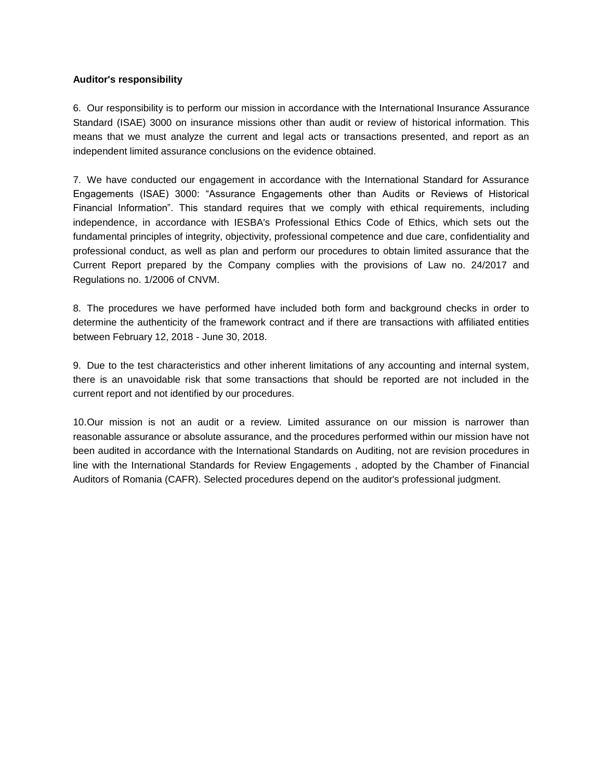# **Auditor's responsibility**

6. Our responsibility is to perform our mission in accordance with the International Insurance Assurance Standard (ISAE) 3000 on insurance missions other than audit or review of historical information. This means that we must analyze the current and legal acts or transactions presented, and report as an independent limited assurance conclusions on the evidence obtained.

7. We have conducted our engagement in accordance with the International Standard for Assurance Engagements (ISAE) 3000: "Assurance Engagements other than Audits or Reviews of Historical Financial Information". This standard requires that we comply with ethical requirements, including independence, in accordance with IESBA's Professional Ethics Code of Ethics, which sets out the fundamental principles of integrity, objectivity, professional competence and due care, confidentiality and professional conduct, as well as plan and perform our procedures to obtain limited assurance that the Current Report prepared by the Company complies with the provisions of Law no. 24/2017 and Regulations no. 1/2006 of CNVM.

8. The procedures we have performed have included both form and background checks in order to determine the authenticity of the framework contract and if there are transactions with affiliated entities between February 12, 2018 - June 30, 2018.

9. Due to the test characteristics and other inherent limitations of any accounting and internal system, there is an unavoidable risk that some transactions that should be reported are not included in the current report and not identified by our procedures.

10.Our mission is not an audit or a review. Limited assurance on our mission is narrower than reasonable assurance or absolute assurance, and the procedures performed within our mission have not been audited in accordance with the International Standards on Auditing, not are revision procedures in line with the International Standards for Review Engagements , adopted by the Chamber of Financial Auditors of Romania (CAFR). Selected procedures depend on the auditor's professional judgment.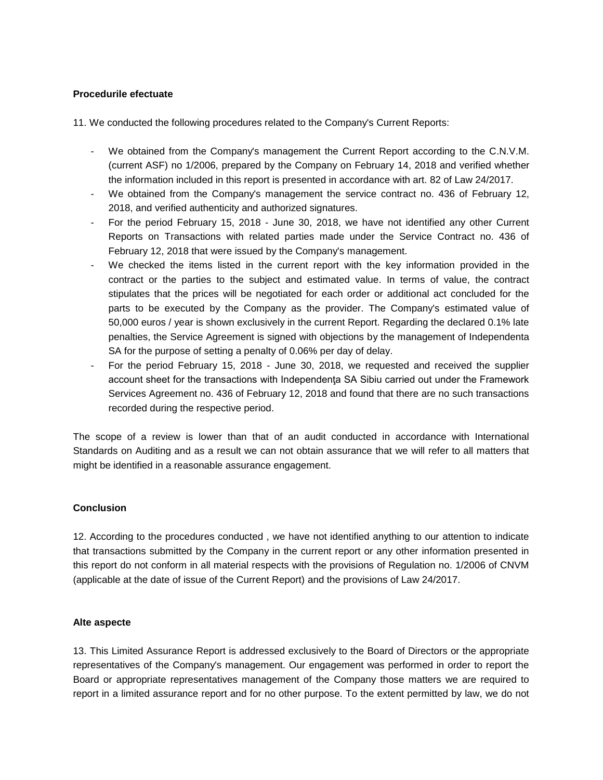# **Procedurile efectuate**

11. We conducted the following procedures related to the Company's Current Reports:

- We obtained from the Company's management the Current Report according to the C.N.V.M. (current ASF) no 1/2006, prepared by the Company on February 14, 2018 and verified whether the information included in this report is presented in accordance with art. 82 of Law 24/2017.
- We obtained from the Company's management the service contract no. 436 of February 12, 2018, and verified authenticity and authorized signatures.
- For the period February 15, 2018 June 30, 2018, we have not identified any other Current Reports on Transactions with related parties made under the Service Contract no. 436 of February 12, 2018 that were issued by the Company's management.
- We checked the items listed in the current report with the key information provided in the contract or the parties to the subject and estimated value. In terms of value, the contract stipulates that the prices will be negotiated for each order or additional act concluded for the parts to be executed by the Company as the provider. The Company's estimated value of 50,000 euros / year is shown exclusively in the current Report. Regarding the declared 0.1% late penalties, the Service Agreement is signed with objections by the management of Independenta SA for the purpose of setting a penalty of 0.06% per day of delay.
- For the period February 15, 2018 June 30, 2018, we requested and received the supplier account sheet for the transactions with Independenţa SA Sibiu carried out under the Framework Services Agreement no. 436 of February 12, 2018 and found that there are no such transactions recorded during the respective period.

The scope of a review is lower than that of an audit conducted in accordance with International Standards on Auditing and as a result we can not obtain assurance that we will refer to all matters that might be identified in a reasonable assurance engagement.

## **Conclusion**

12. According to the procedures conducted , we have not identified anything to our attention to indicate that transactions submitted by the Company in the current report or any other information presented in this report do not conform in all material respects with the provisions of Regulation no. 1/2006 of CNVM (applicable at the date of issue of the Current Report) and the provisions of Law 24/2017.

## **Alte aspecte**

13. This Limited Assurance Report is addressed exclusively to the Board of Directors or the appropriate representatives of the Company's management. Our engagement was performed in order to report the Board or appropriate representatives management of the Company those matters we are required to report in a limited assurance report and for no other purpose. To the extent permitted by law, we do not